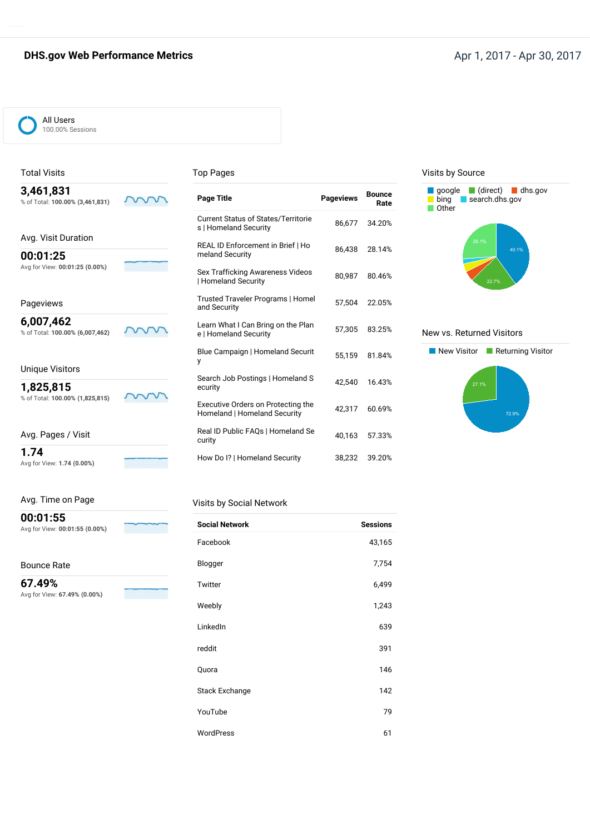## **DHS.gov Web Performance Metrics** Apr 1, 2017 - Apr 30, 2017

ww

W v

m



### Total Visits

**00:01:25**

Pageviews **6,007,462**

#### Top Pages

| 3,461,831 |                                 |  |
|-----------|---------------------------------|--|
|           |                                 |  |
|           | % of Total: 100.00% (3,461,831) |  |

Avg. Visit Duration

Avg for View: **00:01:25 (0.00%)**

% of Total: **100.00% (6,007,462)**

% of Total: **100.00% (1,825,815)**

| Page Title                                                                | <b>Pageviews</b> | <b>Bounce</b><br>Rate |
|---------------------------------------------------------------------------|------------------|-----------------------|
| <b>Current Status of States/Territorie</b><br>s   Homeland Security       | 86,677           | 34.20%                |
| REAL ID Enforcement in Brief   Ho<br>meland Security                      | 86,438           | 28.14%                |
| Sex Trafficking Awareness Videos<br>  Homeland Security                   | 80.987           | 80.46%                |
| Trusted Traveler Programs   Homel<br>and Security                         | 57.504           | 22.05%                |
| Learn What I Can Bring on the Plan<br>e   Homeland Security               | 57,305           | 83.25%                |
| Blue Campaign   Homeland Securit<br>у                                     | 55.159           | 81.84%                |
| Search Job Postings   Homeland S<br>ecurity                               | 42.540           | 16.43%                |
| <b>Executive Orders on Protecting the</b><br>Homeland   Homeland Security | 42.317           | 60.69%                |
| Real ID Public FAQs   Homeland Se<br>curity                               | 40,163           | 57.33%                |
| How Do I?   Homeland Security                                             | 38,232           | 39.20%                |

#### Visits by Source



#### New vs. Returned Visitors



| Avg. Pages / Visit |  |
|--------------------|--|

Unique Visitors **1,825,815**

**1.74**

Avg for View: **1.74 (0.00%)**

**00:01:55**

Avg for View: **00:01:55 (0.00%)**

#### Bounce Rate

**67.49%** Avg for View: **67.49% (0.00%)**

# Visits by Social Network

| <b>Social Network</b> | <b>Sessions</b> |
|-----------------------|-----------------|
| Facebook              | 43,165          |
| Blogger               | 7,754           |
| Twitter               | 6,499           |
| Weebly                | 1,243           |
| LinkedIn              | 639             |
| reddit                | 391             |
| Quora                 | 146             |
| <b>Stack Exchange</b> | 142             |
| YouTube               | 79              |
| WordPress             | 61              |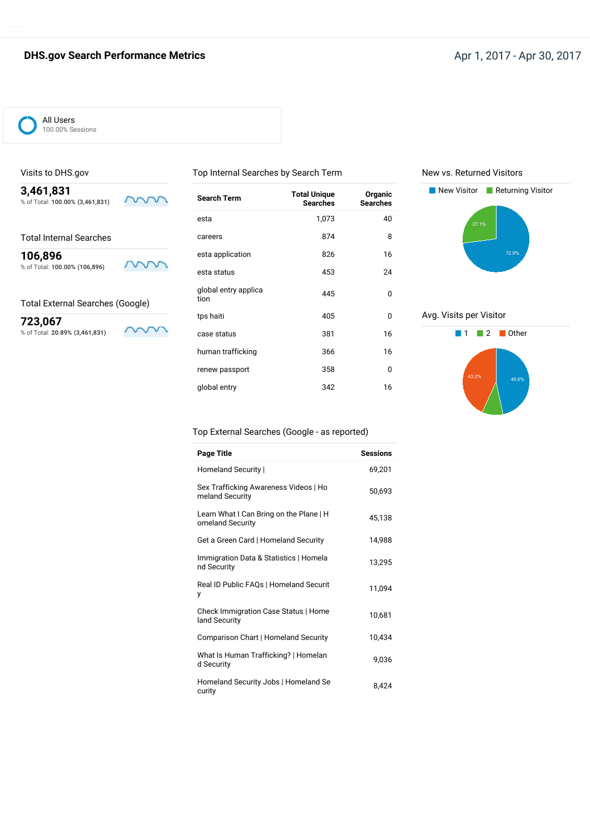# **DHS.gov Search Performance Metrics** Apr 1, 2017 - Apr 30, 2017



### Visits to DHS.gov

**3,461,831** % of Total: **100.00% (3,461,831)**

Total Internal Searches

**106,896** % of Total: **100.00% (106,896)**

Total External Searches (Google)

**723,067** % of Total: **20.89% (3,461,831)**

W S

mm

mm

| <b>Search Term</b>           | <b>Total Unique</b><br><b>Searches</b> | Organic<br><b>Searches</b> |
|------------------------------|----------------------------------------|----------------------------|
| esta                         | 1,073                                  | 40                         |
| careers                      | 874                                    | 8                          |
| esta application             | 826                                    | 16                         |
| esta status                  | 453                                    | 24                         |
| global entry applica<br>tion | 445                                    | 0                          |
| tps haiti                    | 405                                    | 0                          |
| case status                  | 381                                    | 16                         |
| human trafficking            | 366                                    | 16                         |
| renew passport               | 358                                    | 0                          |
| global entry                 | 342                                    | 16                         |

Top Internal Searches by Search Term

New vs. Returned Visitors



Avg. Visits per Visitor



#### Top External Searches (Google - as reported)

| Page Title                                                  | <b>Sessions</b> |
|-------------------------------------------------------------|-----------------|
| Homeland Security                                           | 69,201          |
| Sex Trafficking Awareness Videos   Ho<br>meland Security    | 50,693          |
| Learn What I Can Bring on the Plane   H<br>omeland Security | 45,138          |
| Get a Green Card   Homeland Security                        | 14,988          |
| Immigration Data & Statistics   Homela<br>nd Security       | 13,295          |
| Real ID Public FAQs   Homeland Securit<br>у                 | 11,094          |
| Check Immigration Case Status   Home<br>land Security       | 10,681          |
| Comparison Chart   Homeland Security                        | 10,434          |
| What Is Human Trafficking?   Homelan<br>d Security          | 9,036           |
| Homeland Security Jobs   Homeland Se<br>curity              | 8,424           |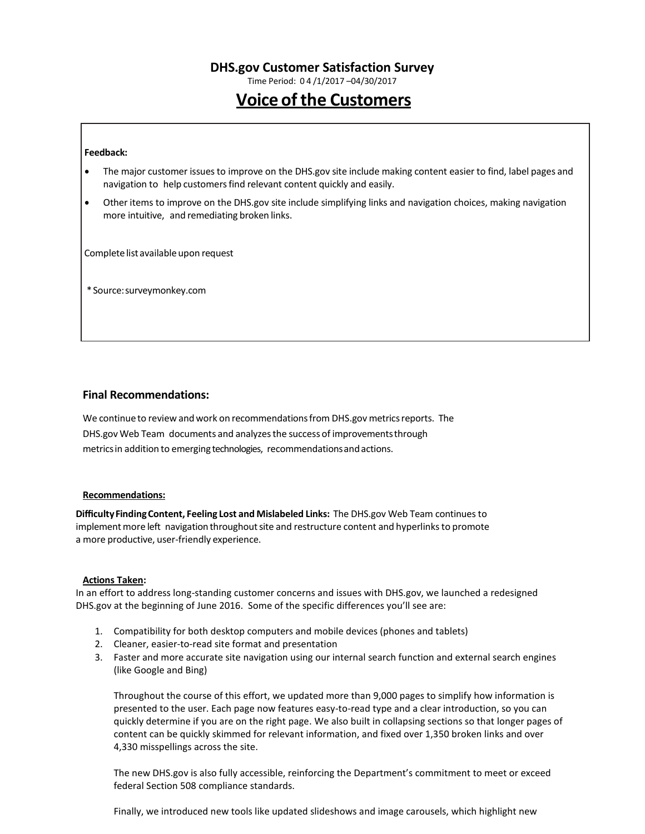Time Period: 0 4 /1/2017 –04/30/2017

# **Voice of the Customers**

#### **Feedback:**

- The major customer issuesto improve on the DHS.gov site include making content easier to find, label pages and navigation to help customers find relevant content quickly and easily.
- Other items to improve on the DHS.gov site include simplifying links and navigation choices, making navigation more intuitive, and remediating broken links.

Complete list available upon request

\*Source:surveymonkey.com

### **Final Recommendations:**

We continue to review and work on recommendations from DHS.gov metrics reports. The DHS.gov Web Team documents and analyzesthe success of improvementsthrough metricsin addition to emerging technologies, recommendationsandactions.

#### **Recommendations:**

**DifficultyFindingContent, Feeling Lost and Mislabeled Links:** The DHS.gov Web Team continues to implement more left navigation throughout site and restructure content and hyperlinks to promote a more productive, user-friendly experience.

#### **Actions Taken:**

In an effort to address long-standing customer concerns and issues with DHS.gov, we launched a redesigned DHS.gov at the beginning of June 2016. Some of the specific differences you'll see are:

- 1. Compatibility for both desktop computers and mobile devices (phones and tablets)
- 2. Cleaner, easier-to-read site format and presentation
- 3. Faster and more accurate site navigation using our internal search function and external search engines (like Google and Bing)

Throughout the course of this effort, we updated more than 9,000 pages to simplify how information is presented to the user. Each page now features easy-to-read type and a clear introduction, so you can quickly determine if you are on the right page. We also built in collapsing sections so that longer pages of content can be quickly skimmed for relevant information, and fixed over 1,350 broken links and over 4,330 misspellings across the site.

The new DHS.gov is also fully accessible, reinforcing the Department's commitment to meet or exceed federal Section 508 compliance standards.

Finally, we introduced new tools like updated slideshows and image carousels, which highlight new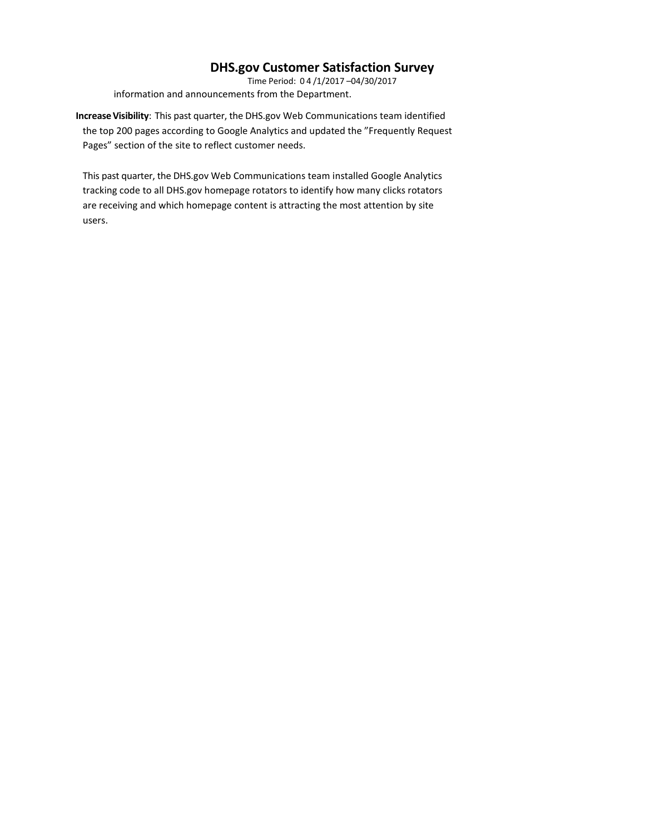Time Period: 0 4 /1/2017 –04/30/2017 information and announcements from the Department.

**IncreaseVisibility**: This past quarter, the DHS.gov Web Communications team identified the top 200 pages according to Google Analytics and updated the "Frequently Request Pages" section of the site to reflect customer needs.

This past quarter, the DHS.gov Web Communications team installed Google Analytics tracking code to all DHS.gov homepage rotators to identify how many clicks rotators are receiving and which homepage content is attracting the most attention by site users.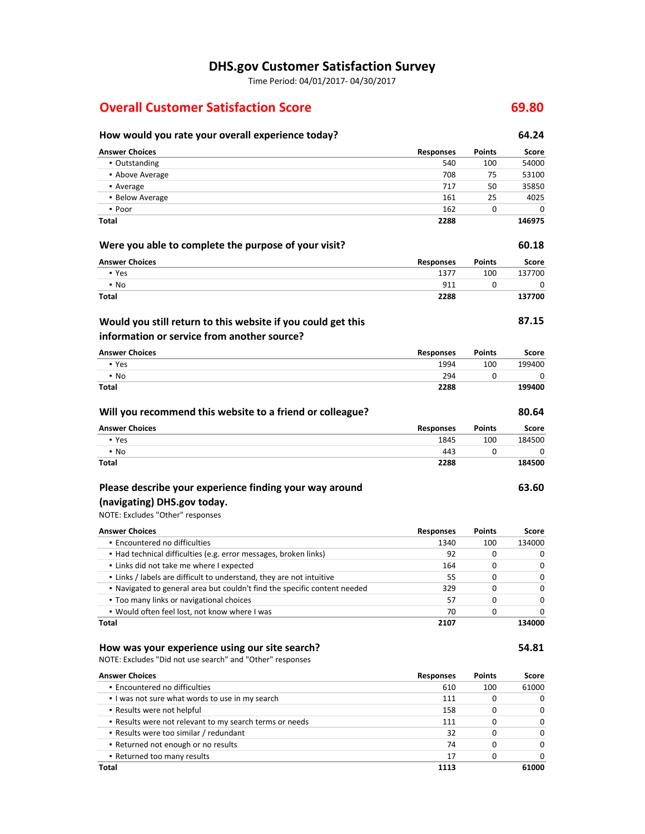Time Period: 04/01/2017- 04/30/2017

# **Overall Customer Satisfaction Score 69.80**

## **How would you rate your overall experience today? 64.24 Answer Choices Responses Points Score** ▪ Outstanding 540 100 54000 **• Above Average 708 75 53100** • Average 717 50 35850 35850 35850 35850 35850 35850 35850 35850 35850 35850 35850 35850 35850 35850 35850 358 ▪ Below Average 161 25 4025 ▪ Poor 162 0 0 **Total 2288 146975 Were you able to complete the purpose of your visit? 60.18 Answer Choices Responses Points Score** ▪ Yes 1377 100 137700 ▪ No 911 0 0 **Total 2288 137700 87.15 Answer Choices Responses Points Score** ▪ Yes 1994 100 199400 ▪ No 294 0 0 0 **Total 2288 199400 Will you recommend this website to a friend or colleague? 80.64 Answer Choices Responses Points Score** ▪ Yes 1845 100 184500 ▪ No 443 0 0 **Total 2288 184500 63.60** NOTE: Excludes "Other" responses **Would you still return to this website if you could get this information or service from another source? Please describe your experience finding your way around (navigating) DHS.gov today.**

**Answer Choices Responses Points Score •** Encountered no difficulties 1340 1340 100 134000 ▪ Had technical difficulties (e.g. error messages, broken links) 92 0 0 ▪ Links did not take me where I expected 164 0 0 ▪ Links / labels are difficult to understand, they are not intuitive 55 0 0 ▪ Navigated to general area but couldn't find the specific content needed 329 0 0 ▪ Too many links or navigational choices 57 0 0 ▪ Would often feel lost, not know where I was 70 0 0 **Total 2107 134000**

#### **How was your experience using our site search? 54.81**

NOTE: Excludes "Did not use search" and "Other" responses

| <b>Answer Choices</b>                                   | <b>Responses</b> | <b>Points</b> | Score        |
|---------------------------------------------------------|------------------|---------------|--------------|
| • Encountered no difficulties                           | 610              | 100           | 61000        |
| I was not sure what words to use in my search           | 111              |               | 0            |
| • Results were not helpful                              | 158              |               | 0            |
| . Results were not relevant to my search terms or needs | 111              | 0             | 0            |
| • Results were too similar / redundant                  | 32               | 0             | $\Omega$     |
| • Returned not enough or no results                     | 74               | 0             | $\Omega$     |
| • Returned too many results                             | 17               | 0             | <sup>0</sup> |
| Total                                                   | 1113             |               | 61000        |